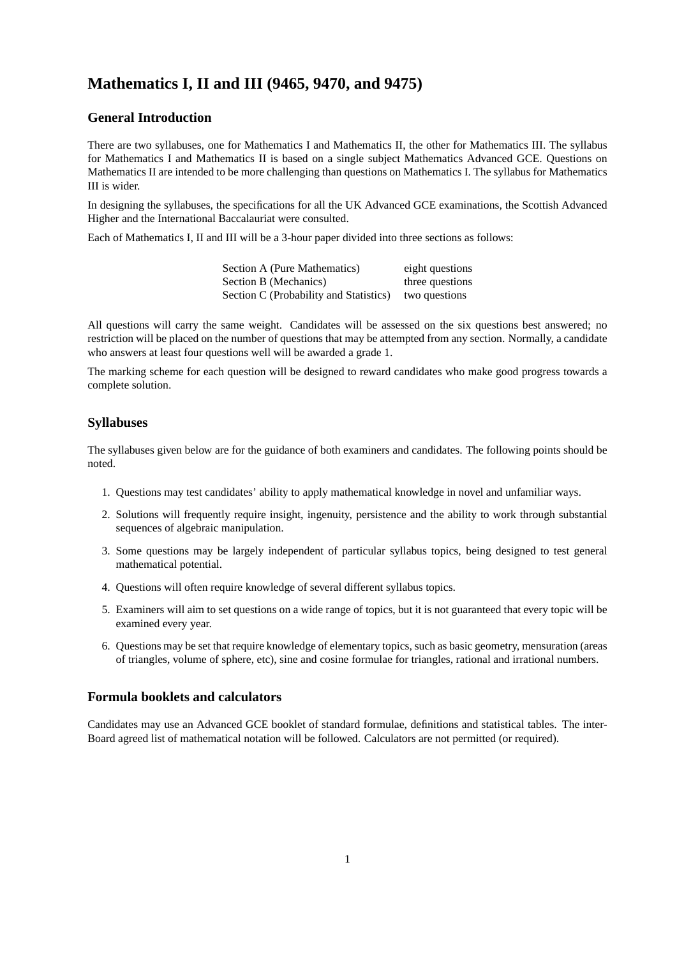# **Mathematics I, II and III (9465, 9470, and 9475)**

## **General Introduction**

There are two syllabuses, one for Mathematics I and Mathematics II, the other for Mathematics III. The syllabus for Mathematics I and Mathematics II is based on a single subject Mathematics Advanced GCE. Questions on Mathematics II are intended to be more challenging than questions on Mathematics I. The syllabus for Mathematics III is wider.

In designing the syllabuses, the specifications for all the UK Advanced GCE examinations, the Scottish Advanced Higher and the International Baccalauriat were consulted.

Each of Mathematics I, II and III will be a 3-hour paper divided into three sections as follows:

Section A (Pure Mathematics) eight questions Section B (Mechanics) three questions Section C (Probability and Statistics) two questions

All questions will carry the same weight. Candidates will be assessed on the six questions best answered; no restriction will be placed on the number of questions that may be attempted from any section. Normally, a candidate who answers at least four questions well will be awarded a grade 1.

The marking scheme for each question will be designed to reward candidates who make good progress towards a complete solution.

# **Syllabuses**

The syllabuses given below are for the guidance of both examiners and candidates. The following points should be noted.

- 1. Questions may test candidates' ability to apply mathematical knowledge in novel and unfamiliar ways.
- 2. Solutions will frequently require insight, ingenuity, persistence and the ability to work through substantial sequences of algebraic manipulation.
- 3. Some questions may be largely independent of particular syllabus topics, being designed to test general mathematical potential.
- 4. Questions will often require knowledge of several different syllabus topics.
- 5. Examiners will aim to set questions on a wide range of topics, but it is not guaranteed that every topic will be examined every year.
- 6. Questions may be set that require knowledge of elementary topics, such as basic geometry, mensuration (areas of triangles, volume of sphere, etc), sine and cosine formulae for triangles, rational and irrational numbers.

# **Formula booklets and calculators**

Candidates may use an Advanced GCE booklet of standard formulae, definitions and statistical tables. The inter-Board agreed list of mathematical notation will be followed. Calculators are not permitted (or required).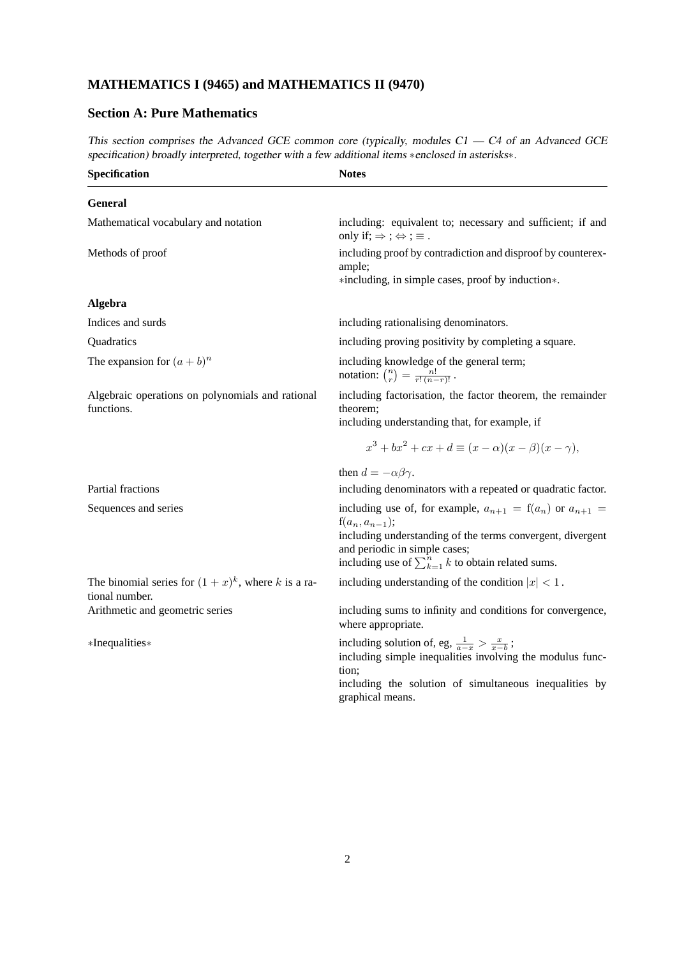# **MATHEMATICS I (9465) and MATHEMATICS II (9470)**

# **Section A: Pure Mathematics**

This section comprises the Advanced GCE common core (typically, modules C1 - C4 of an Advanced GCE specification) broadly interpreted, together with a few additional items ∗enclosed in asterisks∗.

| Specification                                                          | <b>Notes</b>                                                                                                                                                                                                                                         |
|------------------------------------------------------------------------|------------------------------------------------------------------------------------------------------------------------------------------------------------------------------------------------------------------------------------------------------|
| <b>General</b>                                                         |                                                                                                                                                                                                                                                      |
| Mathematical vocabulary and notation                                   | including: equivalent to; necessary and sufficient; if and<br>only if; $\Rightarrow$ ; $\Leftrightarrow$ ; $\equiv$ .                                                                                                                                |
| Methods of proof                                                       | including proof by contradiction and disproof by counterex-<br>ample;<br>*including, in simple cases, proof by induction*.                                                                                                                           |
| Algebra                                                                |                                                                                                                                                                                                                                                      |
| Indices and surds                                                      | including rationalising denominators.                                                                                                                                                                                                                |
| Quadratics                                                             | including proving positivity by completing a square.                                                                                                                                                                                                 |
| The expansion for $(a + b)^n$                                          | including knowledge of the general term;<br>notation: $\binom{n}{r} = \frac{n!}{r!(n-r)!}$ .                                                                                                                                                         |
| Algebraic operations on polynomials and rational<br>functions.         | including factorisation, the factor theorem, the remainder<br>theorem;<br>including understanding that, for example, if                                                                                                                              |
|                                                                        | $x^{3} + bx^{2} + cx + d \equiv (x - \alpha)(x - \beta)(x - \gamma),$                                                                                                                                                                                |
|                                                                        | then $d = -\alpha\beta\gamma$ .                                                                                                                                                                                                                      |
| Partial fractions                                                      | including denominators with a repeated or quadratic factor.                                                                                                                                                                                          |
| Sequences and series                                                   | including use of, for example, $a_{n+1} = f(a_n)$ or $a_{n+1} =$<br>$f(a_n, a_{n-1});$<br>including understanding of the terms convergent, divergent<br>and periodic in simple cases;<br>including use of $\sum_{k=1}^{n} k$ to obtain related sums. |
| The binomial series for $(1+x)^k$ , where k is a ra-<br>tional number. | including understanding of the condition $ x  < 1$ .                                                                                                                                                                                                 |
| Arithmetic and geometric series                                        | including sums to infinity and conditions for convergence,<br>where appropriate.                                                                                                                                                                     |
| *Inequalities*                                                         | including solution of, eg, $\frac{1}{a-x} > \frac{x}{x-b}$ ;<br>including simple inequalities involving the modulus func-<br>tion;                                                                                                                   |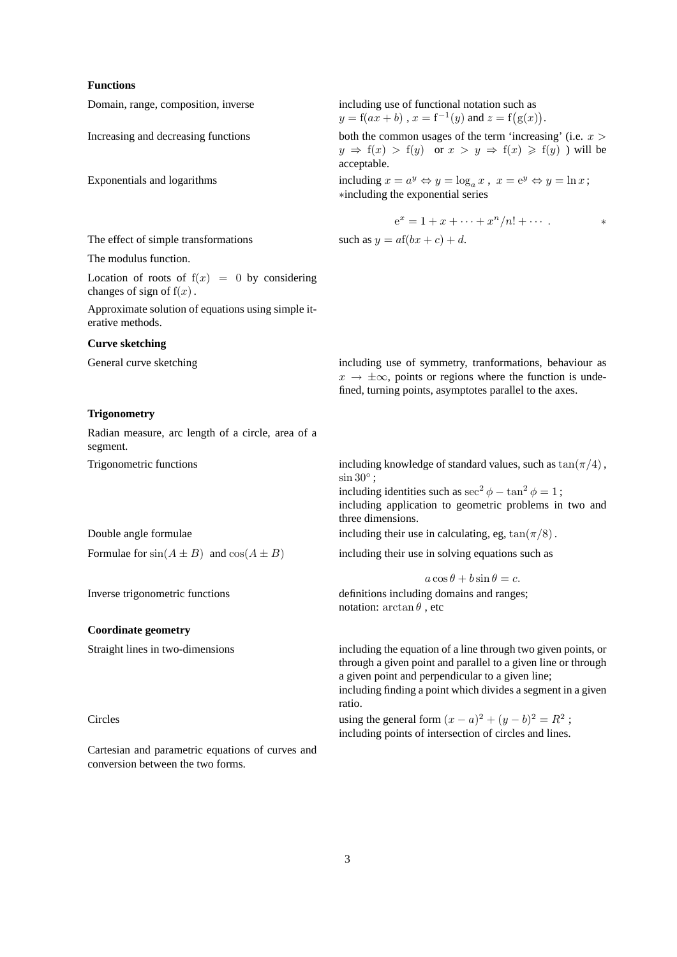#### **Functions**

Exponentials and logarithms

#### The effect of simple transformations such as  $y = af(bx + c) + d$ .

The modulus function.

Location of roots of  $f(x) = 0$  by considering changes of sign of  $f(x)$ .

Approximate solution of equations using simple iterative methods.

#### **Curve sketching**

#### **Trigonometry**

Radian measure, arc length of a circle, area of a segment.

#### **Coordinate geometry**

Cartesian and parametric equations of curves and conversion between the two forms.

Domain, range, composition, inverse including use of functional notation such as  $y = f(ax + b)$ ,  $x = f^{-1}(y)$  and  $z = f(g(x))$ .

Increasing and decreasing functions both the common usages of the term 'increasing' (i.e.  $x >$  $y \Rightarrow f(x) > f(y)$  or  $x > y \Rightarrow f(x) \geq f(y)$  will be acceptable.

> including  $x = a^y \Leftrightarrow y = \log_a x$ ,  $x = e^y \Leftrightarrow y = \ln x$ ; ∗including the exponential series

$$
e^x = 1 + x + \dots + x^n/n! + \dots \qquad *
$$

General curve sketching including use of symmetry, tranformations, behaviour as  $x \rightarrow \pm \infty$ , points or regions where the function is undefined, turning points, asymptotes parallel to the axes.

Trigonometric functions including knowledge of standard values, such as  $tan(\pi/4)$ ,  $\sin 30^\circ$ ;

including identities such as  $\sec^2 \phi - \tan^2 \phi = 1$ ; including application to geometric problems in two and three dimensions.

Double angle formulae including their use in calculating, eg,  $tan(\pi/8)$ .

Formulae for  $sin(A \pm B)$  and  $cos(A \pm B)$  including their use in solving equations such as

 $a\cos\theta + b\sin\theta = c.$ 

Inverse trigonometric functions definitions definitions including domains and ranges; notation:  $\arctan \theta$ , etc

Straight lines in two-dimensions including the equation of a line through two given points, or through a given point and parallel to a given line or through a given point and perpendicular to a given line; including finding a point which divides a segment in a given ratio.

Circles using the general form  $(x - a)^2 + (y - b)^2 = R^2$ ; including points of intersection of circles and lines.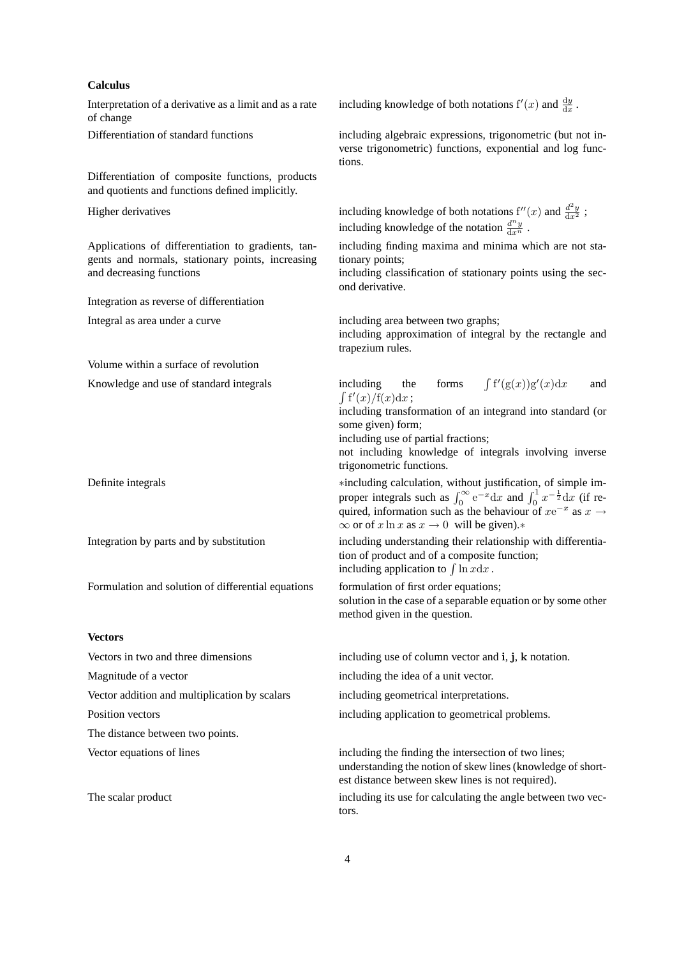#### **Calculus**

Interpretation of a derivative as a limit and as a rate of change

Differentiation of composite functions, products and quotients and functions defined implicitly.

Applications of differentiation to gradients, tangents and normals, stationary points, increasing and decreasing functions

Integration as reverse of differentiation

Volume within a surface of revolution

Knowledge and use of standard integrals in

Formulation and solution of differential equations formulation of first order equations;

#### **Vectors**

Magnitude of a vector including the idea of a unit vector. Vector addition and multiplication by scalars including geometrical interpretations. Position vectors including application to geometrical problems. The distance between two points.

including knowledge of both notations  $f'(x)$  and  $\frac{dy}{dx}$ .

Differentiation of standard functions including algebraic expressions, trigonometric (but not inverse trigonometric) functions, exponential and log functions.

Higher derivatives including knowledge of both notations  $f''(x)$  and  $\frac{d^2y}{dx^2}$ ; including knowledge of the notation  $\frac{d^n y}{dx^n}$ .

> including finding maxima and minima which are not stationary points;

> including classification of stationary points using the second derivative.

Integral as area under a curve including area between two graphs;

including approximation of integral by the rectangle and trapezium rules.

$$
\text{cluding} \quad \text{the} \quad \text{forms} \quad \int f'(g(x))g'(x) \, dx \quad \text{and} \quad f'(x)/f(x) \, dx \, ;
$$

including transformation of an integrand into standard (or some given) form;

including use of partial fractions;

R

not including knowledge of integrals involving inverse trigonometric functions.

Definite integrals ∗including calculation, without justification, of simple improper integrals such as  $\int_0^\infty e^{-x} dx$  and  $\int_0^1 x^{-\frac{1}{2}} dx$  (if required, information such as the behaviour of  $xe^{-x}$  as  $x \rightarrow$  $\infty$  or of x ln x as  $x \to 0$  will be given).\*

Integration by parts and by substitution including understanding their relationship with differentiation of product and of a composite function; including application to  $\int \ln x dx$ .

> solution in the case of a separable equation or by some other method given in the question.

Vectors in two and three dimensions including use of column vector and i, j, k notation.

Vector equations of lines including the finding the intersection of two lines; understanding the notion of skew lines (knowledge of shortest distance between skew lines is not required).

The scalar product including its use for calculating the angle between two vectors.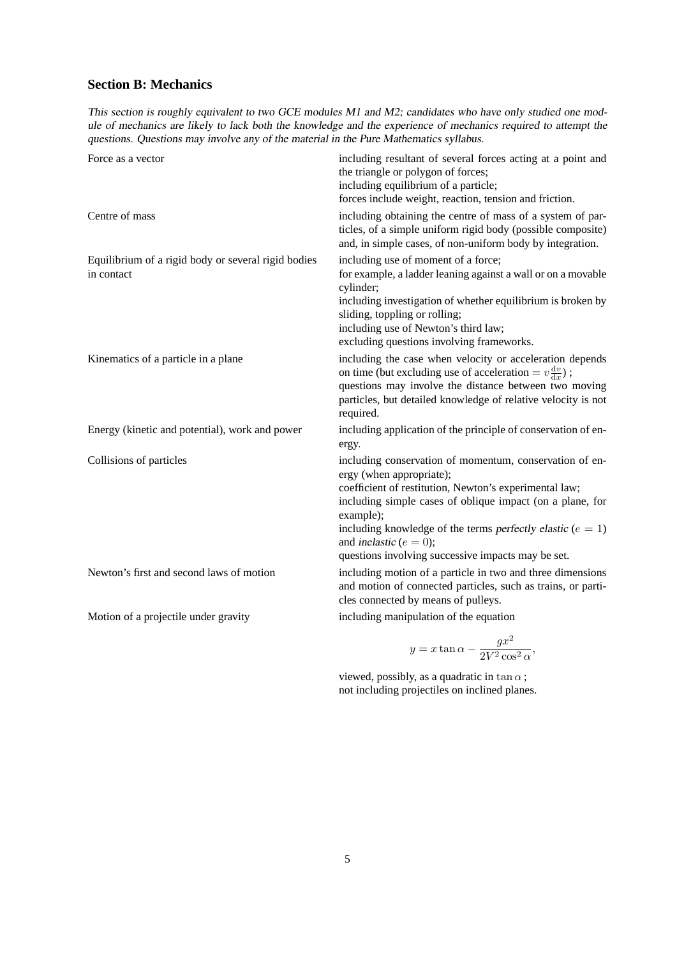# **Section B: Mechanics**

This section is roughly equivalent to two GCE modules M1 and M2; candidates who have only studied one module of mechanics are likely to lack both the knowledge and the experience of mechanics required to attempt the questions. Questions may involve any of the material in the Pure Mathematics syllabus.

|                                                                   | including obtaining the centre of mass of a system of par-                                                                                                                                                                                                                                                                                                                    |
|-------------------------------------------------------------------|-------------------------------------------------------------------------------------------------------------------------------------------------------------------------------------------------------------------------------------------------------------------------------------------------------------------------------------------------------------------------------|
| Centre of mass                                                    | ticles, of a simple uniform rigid body (possible composite)<br>and, in simple cases, of non-uniform body by integration.                                                                                                                                                                                                                                                      |
| Equilibrium of a rigid body or several rigid bodies<br>in contact | including use of moment of a force;<br>for example, a ladder leaning against a wall or on a movable<br>cylinder;<br>including investigation of whether equilibrium is broken by<br>sliding, toppling or rolling;<br>including use of Newton's third law;<br>excluding questions involving frameworks.                                                                         |
| Kinematics of a particle in a plane                               | including the case when velocity or acceleration depends<br>on time (but excluding use of acceleration = $v \frac{dv}{dx}$ );<br>questions may involve the distance between two moving<br>particles, but detailed knowledge of relative velocity is not<br>required.                                                                                                          |
| Energy (kinetic and potential), work and power                    | including application of the principle of conservation of en-<br>ergy.                                                                                                                                                                                                                                                                                                        |
| Collisions of particles                                           | including conservation of momentum, conservation of en-<br>ergy (when appropriate);<br>coefficient of restitution, Newton's experimental law;<br>including simple cases of oblique impact (on a plane, for<br>example);<br>including knowledge of the terms perfectly elastic ( $e = 1$ )<br>and inelastic ( $e = 0$ );<br>questions involving successive impacts may be set. |
| Newton's first and second laws of motion                          | including motion of a particle in two and three dimensions<br>and motion of connected particles, such as trains, or parti-<br>cles connected by means of pulleys.                                                                                                                                                                                                             |
| Motion of a projectile under gravity                              | including manipulation of the equation                                                                                                                                                                                                                                                                                                                                        |

$$
y = x \tan \alpha - \frac{gx^2}{2V^2 \cos^2 \alpha},
$$

viewed, possibly, as a quadratic in tan $\alpha$ ; not including projectiles on inclined planes.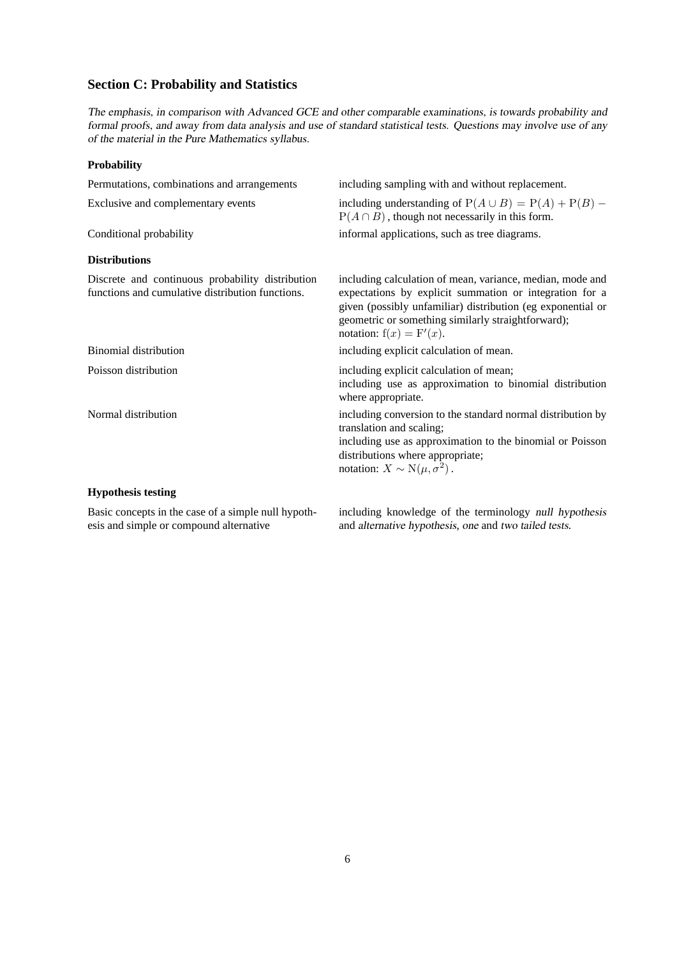# **Section C: Probability and Statistics**

The emphasis, in comparison with Advanced GCE and other comparable examinations, is towards probability and formal proofs, and away from data analysis and use of standard statistical tests. Questions may involve use of any of the material in the Pure Mathematics syllabus.

### **Probability**

| Permutations, combinations and arrangements                                                          | including sampling with and without replacement.                                                                                                                                                                                                                        |
|------------------------------------------------------------------------------------------------------|-------------------------------------------------------------------------------------------------------------------------------------------------------------------------------------------------------------------------------------------------------------------------|
| Exclusive and complementary events                                                                   | including understanding of $P(A \cup B) = P(A) + P(B)$ –<br>$P(A \cap B)$ , though not necessarily in this form.                                                                                                                                                        |
| Conditional probability                                                                              | informal applications, such as tree diagrams.                                                                                                                                                                                                                           |
| <b>Distributions</b>                                                                                 |                                                                                                                                                                                                                                                                         |
| Discrete and continuous probability distribution<br>functions and cumulative distribution functions. | including calculation of mean, variance, median, mode and<br>expectations by explicit summation or integration for a<br>given (possibly unfamiliar) distribution (eg exponential or<br>geometric or something similarly straightforward);<br>notation: $f(x) = F'(x)$ . |
| <b>Binomial distribution</b>                                                                         | including explicit calculation of mean.                                                                                                                                                                                                                                 |
| Poisson distribution                                                                                 | including explicit calculation of mean;<br>including use as approximation to binomial distribution<br>where appropriate.                                                                                                                                                |
| Normal distribution                                                                                  | including conversion to the standard normal distribution by<br>translation and scaling;<br>including use as approximation to the binomial or Poisson<br>distributions where appropriate;<br>notation: $X \sim N(\mu, \sigma^2)$ .                                       |
| <b>Hypothesis testing</b>                                                                            |                                                                                                                                                                                                                                                                         |

Basic concepts in the case of a simple null hypothesis and simple or compound alternative

including knowledge of the terminology null hypothesis and alternative hypothesis, one and two tailed tests.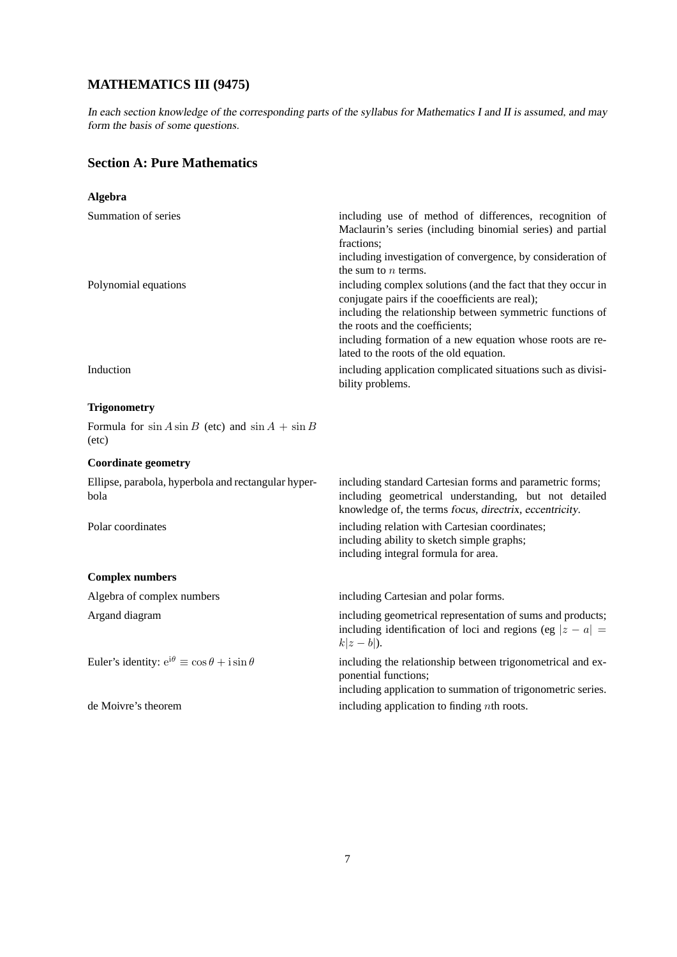# **MATHEMATICS III (9475)**

In each section knowledge of the corresponding parts of the syllabus for Mathematics I and II is assumed, and may form the basis of some questions.

# **Section A: Pure Mathematics**

| <b>Algebra</b>                                                            |                                                                                                                                                                                                                                                                                                                         |
|---------------------------------------------------------------------------|-------------------------------------------------------------------------------------------------------------------------------------------------------------------------------------------------------------------------------------------------------------------------------------------------------------------------|
| Summation of series                                                       | including use of method of differences, recognition of<br>Maclaurin's series (including binomial series) and partial<br>fractions;<br>including investigation of convergence, by consideration of<br>the sum to $n$ terms.                                                                                              |
| Polynomial equations                                                      | including complex solutions (and the fact that they occur in<br>conjugate pairs if the cooefficients are real);<br>including the relationship between symmetric functions of<br>the roots and the coefficients;<br>including formation of a new equation whose roots are re-<br>lated to the roots of the old equation. |
| Induction                                                                 | including application complicated situations such as divisi-<br>bility problems.                                                                                                                                                                                                                                        |
| <b>Trigonometry</b>                                                       |                                                                                                                                                                                                                                                                                                                         |
| Formula for $\sin A \sin B$ (etc) and $\sin A + \sin B$<br>$(\text{etc})$ |                                                                                                                                                                                                                                                                                                                         |
| <b>Coordinate geometry</b>                                                |                                                                                                                                                                                                                                                                                                                         |
| Ellipse, parabola, hyperbola and rectangular hyper-<br>bola               | including standard Cartesian forms and parametric forms;<br>including geometrical understanding, but not detailed<br>knowledge of, the terms focus, directrix, eccentricity.                                                                                                                                            |
| Polar coordinates                                                         | including relation with Cartesian coordinates;<br>including ability to sketch simple graphs;<br>including integral formula for area.                                                                                                                                                                                    |
| <b>Complex numbers</b>                                                    |                                                                                                                                                                                                                                                                                                                         |
| Algebra of complex numbers                                                | including Cartesian and polar forms.                                                                                                                                                                                                                                                                                    |
| Argand diagram                                                            | including geometrical representation of sums and products;<br>including identification of loci and regions (eg $ z - a $ =<br>$k z-b $ ).                                                                                                                                                                               |
| Euler's identity: $e^{i\theta} \equiv \cos \theta + i \sin \theta$        | including the relationship between trigonometrical and ex-<br>ponential functions;<br>including application to summation of trigonometric series.                                                                                                                                                                       |
| de Moivre's theorem                                                       | including application to finding $n$ th roots.                                                                                                                                                                                                                                                                          |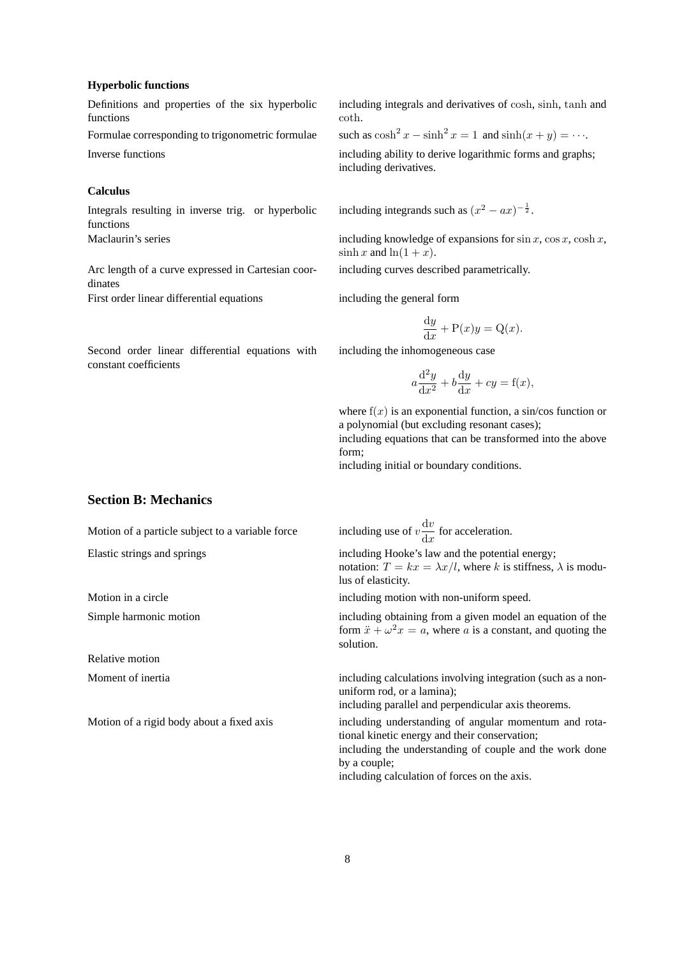#### **Hyperbolic functions**

Definitions and properties of the six hyperbolic functions

Formulae corresponding to trigonometric formulae Inverse functions including ability to derive logarithmic forms and graphs;

## **Calculus**

Integrals resulting in inverse trig. or hyperbolic functions

Arc length of a curve expressed in Cartesian coordinates First order linear differential equations including the general form

Second order linear differential equations with constant coefficients

including integrals and derivatives of cosh, sinh, tanh and coth.

 $x - \sinh^2 x = 1$  and  $\sinh(x + y) = \cdots$ .

including derivatives.

including integrands such as  $(x^2 - ax)^{-\frac{1}{2}}$ .

Maclaurin's series including knowledge of expansions for  $\sin x$ ,  $\cos x$ ,  $\cosh x$ ,  $\sinh x$  and  $\ln(1+x)$ .

including curves described parametrically.

$$
\frac{\mathrm{d}y}{\mathrm{d}x} + \mathrm{P}(x)y = \mathrm{Q}(x).
$$

including the inhomogeneous case

$$
a\frac{\mathrm{d}^2 y}{\mathrm{d}x^2} + b\frac{\mathrm{d}y}{\mathrm{d}x} + cy = f(x),
$$

where  $f(x)$  is an exponential function, a sin/cos function or a polynomial (but excluding resonant cases);

including equations that can be transformed into the above form;

including initial or boundary conditions.

## **Section B: Mechanics**

Relative motion

Motion of a particle subject to a variable force  $\mathrm{d}v$  $\frac{dS}{dx}$  for acceleration. Elastic strings and springs including Hooke's law and the potential energy; notation:  $T = kx = \lambda x/l$ , where k is stiffness,  $\lambda$  is modulus of elasticity.

Motion in a circle including motion with non-uniform speed.

Simple harmonic motion including obtaining from a given model an equation of the form  $\ddot{x} + \omega^2 x = a$ , where a is a constant, and quoting the solution.

Moment of inertia including calculations involving integration (such as a nonuniform rod, or a lamina);

including parallel and perpendicular axis theorems.

Motion of a rigid body about a fixed axis including understanding of angular momentum and rotational kinetic energy and their conservation; including the understanding of couple and the work done by a couple;

including calculation of forces on the axis.

8